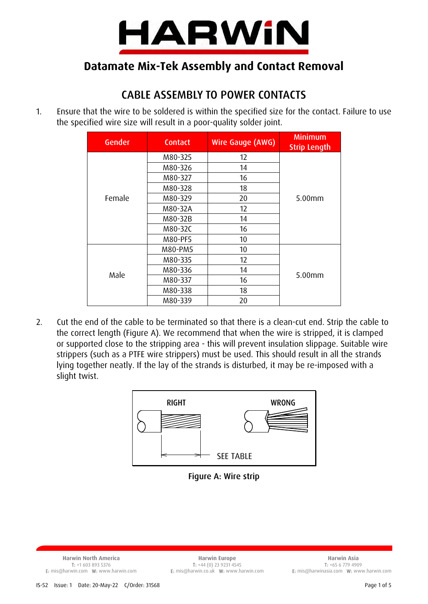

# **Datamate Mix-Tek Assembly and Contact Removal**

# CABLE ASSEMBLY TO POWER CONTACTS

1. Ensure that the wire to be soldered is within the specified size for the contact. Failure to use the specified wire size will result in a poor-quality solder joint.

| Gender | <b>Contact</b> | Wire Gauge (AWG) | <b>Minimum</b><br><b>Strip Length</b> |
|--------|----------------|------------------|---------------------------------------|
| Female | M80-325        | 12               | $5.00$ mm                             |
|        | M80-326        | 14               |                                       |
|        | M80-327        | 16               |                                       |
|        | M80-328        | 18               |                                       |
|        | M80-329        | 20               |                                       |
|        | M80-32A        | 12               |                                       |
|        | M80-32B        | 14               |                                       |
|        | M80-32C        | 16               |                                       |
|        | M80-PF5        | 10               |                                       |
| Male   | M80-PM5        | 10               | 5.00 <sub>mm</sub>                    |
|        | M80-335        | 12               |                                       |
|        | M80-336        | 14               |                                       |
|        | M80-337        | 16               |                                       |
|        | M80-338        | 18               |                                       |
|        | M80-339        | 20               |                                       |

2. Cut the end of the cable to be terminated so that there is a clean-cut end. Strip the cable to the correct length (Figure A). We recommend that when the wire is stripped, it is clamped or supported close to the stripping area - this will prevent insulation slippage. Suitable wire strippers (such as a PTFE wire strippers) must be used. This should result in all the strands lying together neatly. If the lay of the strands is disturbed, it may be re-imposed with a slight twist.



Figure A: Wire strip

E: mis@harwin.com W: www.harwin.com E: mis@harwin.co.uk W: www.harwin.com E: mis@harwinasia.com W: www.harwin.com

**Harwin North America Harwin Europe Harwin Asia** T: +1 603 893 5376 T: +44 (0) 23 9231 4545 T: +65 6 779 4909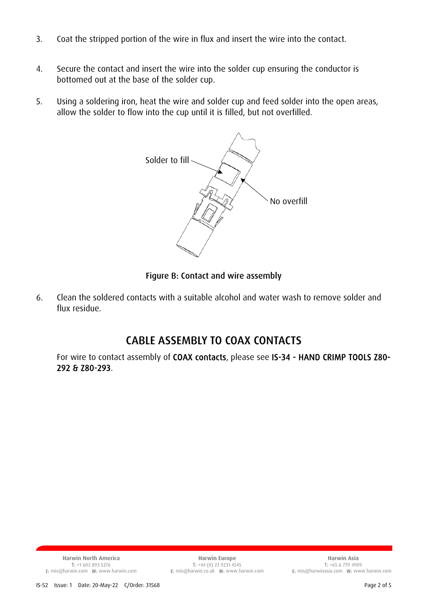- 3. Coat the stripped portion of the wire in flux and insert the wire into the contact.
- 4. Secure the contact and insert the wire into the solder cup ensuring the conductor is bottomed out at the base of the solder cup.
- 5. Using a soldering iron, heat the wire and solder cup and feed solder into the open areas, allow the solder to flow into the cup until it is filled, but not overfilled.



Figure B: Contact and wire assembly

6. Clean the soldered contacts with a suitable alcohol and water wash to remove solder and flux residue.

## CABLE ASSEMBLY TO COAX CONTACTS

For wire to contact assembly of COAX contacts, please see IS-34 - HAND CRIMP TOOLS Z80- 292 & Z80-293.

T: +1 603 893 5376 T: +14 (0) 23 9231 4545 T: +14 (0) 23 9231 4545<br>E: mis@harwin.com T: +65 6 779 4909 T: +65 6 779 4909 T: +65 6 779 4909 E: mis@harwin.com W: www.harwin.com

**Harwin North America Harwin Europe Harwin Asia** E: mis@harwin.co.uk W: www.harwin.com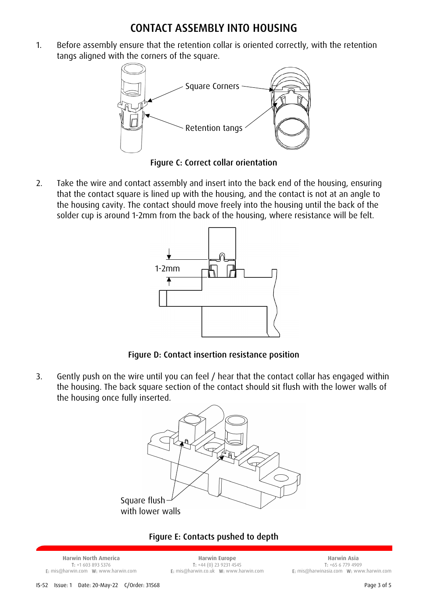### CONTACT ASSEMBLY INTO HOUSING

1. Before assembly ensure that the retention collar is oriented correctly, with the retention tangs aligned with the corners of the square.



Figure C: Correct collar orientation

2. Take the wire and contact assembly and insert into the back end of the housing, ensuring that the contact square is lined up with the housing, and the contact is not at an angle to the housing cavity. The contact should move freely into the housing until the back of the solder cup is around 1-2mm from the back of the housing, where resistance will be felt.



Figure D: Contact insertion resistance position

3. Gently push on the wire until you can feel / hear that the contact collar has engaged within the housing. The back square section of the contact should sit flush with the lower walls of the housing once fully inserted.



#### Figure E: Contacts pushed to depth

**Harwin North America Harwin Europe Harwin Asia**

T: +1 603 893 5376 T: +44 (0) 23 9231 4545 T: +65 6 779 4909

E: mis@harwin.com W: www.harwin.com E: mis@harwin.co.uk W: www.harwin.com E: mis@harwinasia.com W: www.harwin.com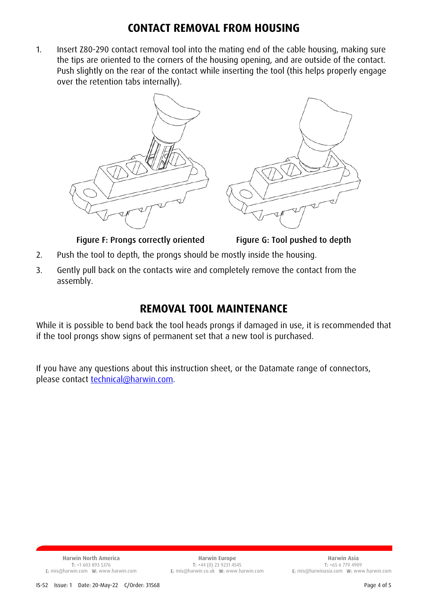## **CONTACT REMOVAL FROM HOUSING**

1. Insert Z80-290 contact removal tool into the mating end of the cable housing, making sure the tips are oriented to the corners of the housing opening, and are outside of the contact. Push slightly on the rear of the contact while inserting the tool (this helps properly engage over the retention tabs internally).



Figure F: Prongs correctly oriented Figure G: Tool pushed to depth

- 2. Push the tool to depth, the prongs should be mostly inside the housing.
- 3. Gently pull back on the contacts wire and completely remove the contact from the assembly.

### **REMOVAL TOOL MAINTENANCE**

While it is possible to bend back the tool heads prongs if damaged in use, it is recommended that if the tool prongs show signs of permanent set that a new tool is purchased.

If you have any questions about this instruction sheet, or the Datamate range of connectors, please contact **technical@harwin.com**.

E: mis@harwin.com W: www.harwin.com E: mis@harwin.co.uk W: www.harwin.com E: mis@harwinasia.com W: www.harwin.com

**Harwin North America Harwin Europe Harwin Asia** T: +1 603 893 5376 T: +44 (0) 23 9231 4545 T: +65 6 779 4909